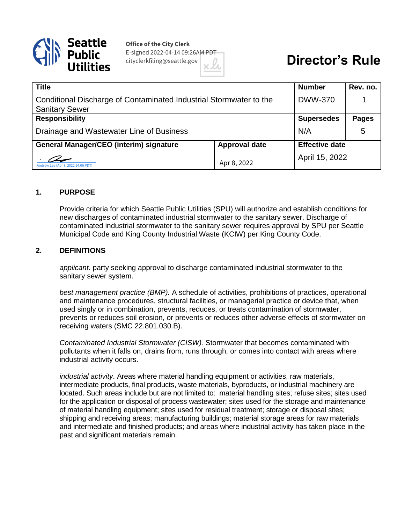

**Office of the City Clerk** E-signed 2022-04-14 09:26AM PDT cityclerkfiling@seattle.gov

# **Director's Rule**

| <b>Title</b>                                                                                |                      | <b>Number</b>         | Rev. no.     |
|---------------------------------------------------------------------------------------------|----------------------|-----------------------|--------------|
| Conditional Discharge of Contaminated Industrial Stormwater to the<br><b>Sanitary Sewer</b> |                      | <b>DWW-370</b>        |              |
| <b>Responsibility</b>                                                                       |                      | <b>Supersedes</b>     | <b>Pages</b> |
| Drainage and Wastewater Line of Business                                                    |                      | N/A                   | 5            |
| <b>General Manager/CEO (interim) signature</b>                                              | <b>Approval date</b> | <b>Effective date</b> |              |
| Andrew Lee (Apr 8, 2022 14:06 PDT)                                                          | Apr 8, 2022          | April 15, 2022        |              |

#### **1. PURPOSE**

Provide criteria for which Seattle Public Utilities (SPU) will authorize and establish conditions for new discharges of contaminated industrial stormwater to the sanitary sewer. Discharge of contaminated industrial stormwater to the sanitary sewer requires approval by SPU per Seattle Municipal Code and King County Industrial Waste (KCIW) per King County Code.

#### **2. DEFINITIONS**

*applicant*. party seeking approval to discharge contaminated industrial stormwater to the sanitary sewer system.

*best management practice (BMP).* A schedule of activities, prohibitions of practices, operational and maintenance procedures, structural facilities, or managerial practice or device that, when used singly or in combination, prevents, reduces, or treats contamination of stormwater, prevents or reduces soil erosion, or prevents or reduces other adverse effects of stormwater on receiving waters (SMC 22.801.030.B).

*Contaminated Industrial Stormwater (CISW).* Stormwater that becomes contaminated with pollutants when it falls on, drains from, runs through, or comes into contact with areas where industrial activity occurs.

*industrial activity*. Areas where material handling equipment or activities, raw materials, intermediate products, final products, waste materials, byproducts, or industrial machinery are located. Such areas include but are not limited to: material handling sites; refuse sites; sites used for the application or disposal of process wastewater; sites used for the storage and maintenance of material handling equipment; sites used for residual treatment; storage or disposal sites; shipping and receiving areas; manufacturing buildings; material storage areas for raw materials and intermediate and finished products; and areas where industrial activity has taken place in the past and significant materials remain.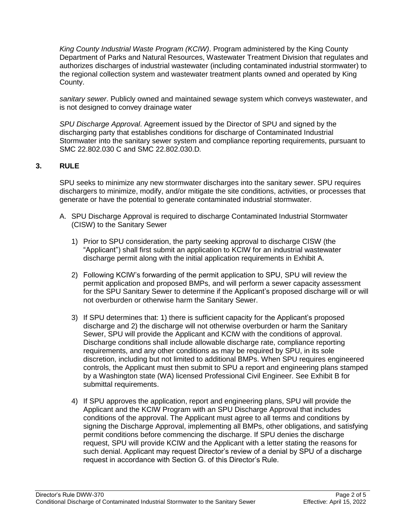*King County Industrial Waste Program (KCIW)*. Program administered by the King County Department of Parks and Natural Resources, Wastewater Treatment Division that regulates and authorizes discharges of industrial wastewater (including contaminated industrial stormwater) to the regional collection system and wastewater treatment plants owned and operated by King County.

*sanitary sewer*. Publicly owned and maintained sewage system which conveys wastewater, and is not designed to convey drainage water

*SPU Discharge Approval*. Agreement issued by the Director of SPU and signed by the discharging party that establishes conditions for discharge of Contaminated Industrial Stormwater into the sanitary sewer system and compliance reporting requirements, pursuant to SMC 22.802.030 C and SMC 22.802.030.D*.* 

### **3. RULE**

SPU seeks to minimize any new stormwater discharges into the sanitary sewer. SPU requires dischargers to minimize, modify, and/or mitigate the site conditions, activities, or processes that generate or have the potential to generate contaminated industrial stormwater.

- A. SPU Discharge Approval is required to discharge Contaminated Industrial Stormwater (CISW) to the Sanitary Sewer
	- 1) Prior to SPU consideration, the party seeking approval to discharge CISW (the "Applicant") shall first submit an application to KCIW for an industrial wastewater discharge permit along with the initial application requirements in Exhibit A.
	- 2) Following KCIW's forwarding of the permit application to SPU, SPU will review the permit application and proposed BMPs, and will perform a sewer capacity assessment for the SPU Sanitary Sewer to determine if the Applicant's proposed discharge will or will not overburden or otherwise harm the Sanitary Sewer.
	- 3) If SPU determines that: 1) there is sufficient capacity for the Applicant's proposed discharge and 2) the discharge will not otherwise overburden or harm the Sanitary Sewer, SPU will provide the Applicant and KCIW with the conditions of approval. Discharge conditions shall include allowable discharge rate, compliance reporting requirements, and any other conditions as may be required by SPU, in its sole discretion, including but not limited to additional BMPs. When SPU requires engineered controls, the Applicant must then submit to SPU a report and engineering plans stamped by a Washington state (WA) licensed Professional Civil Engineer. See Exhibit B for submittal requirements.
	- 4) If SPU approves the application, report and engineering plans, SPU will provide the Applicant and the KCIW Program with an SPU Discharge Approval that includes conditions of the approval. The Applicant must agree to all terms and conditions by signing the Discharge Approval, implementing all BMPs, other obligations, and satisfying permit conditions before commencing the discharge. If SPU denies the discharge request, SPU will provide KCIW and the Applicant with a letter stating the reasons for such denial. Applicant may request Director's review of a denial by SPU of a discharge request in accordance with Section G. of this Director's Rule.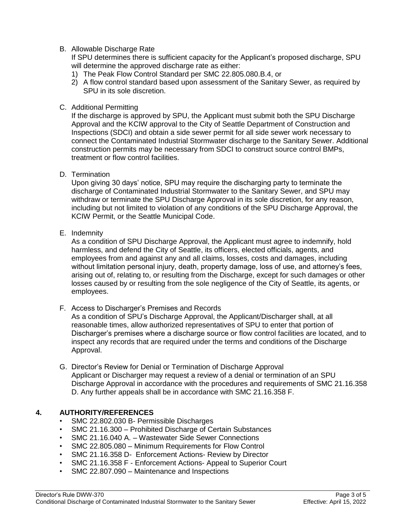#### B. Allowable Discharge Rate

If SPU determines there is sufficient capacity for the Applicant's proposed discharge, SPU will determine the approved discharge rate as either:

- 1) The Peak Flow Control Standard per SMC 22.805.080.B.4, or
- 2) A flow control standard based upon assessment of the Sanitary Sewer, as required by SPU in its sole discretion.

### C. Additional Permitting

If the discharge is approved by SPU, the Applicant must submit both the SPU Discharge Approval and the KCIW approval to the City of Seattle Department of Construction and Inspections (SDCI) and obtain a side sewer permit for all side sewer work necessary to connect the Contaminated Industrial Stormwater discharge to the Sanitary Sewer. Additional construction permits may be necessary from SDCI to construct source control BMPs, treatment or flow control facilities.

D. Termination

Upon giving 30 days' notice, SPU may require the discharging party to terminate the discharge of Contaminated Industrial Stormwater to the Sanitary Sewer, and SPU may withdraw or terminate the SPU Discharge Approval in its sole discretion, for any reason, including but not limited to violation of any conditions of the SPU Discharge Approval, the KCIW Permit, or the Seattle Municipal Code.

E. Indemnity

As a condition of SPU Discharge Approval, the Applicant must agree to indemnify, hold harmless, and defend the City of Seattle, its officers, elected officials, agents, and employees from and against any and all claims, losses, costs and damages, including without limitation personal injury, death, property damage, loss of use, and attorney's fees, arising out of, relating to, or resulting from the Discharge, except for such damages or other losses caused by or resulting from the sole negligence of the City of Seattle, its agents, or employees.

F. Access to Discharger's Premises and Records

As a condition of SPU's Discharge Approval, the Applicant/Discharger shall, at all reasonable times, allow authorized representatives of SPU to enter that portion of Discharger's premises where a discharge source or flow control facilities are located, and to inspect any records that are required under the terms and conditions of the Discharge Approval.

G. Director's Review for Denial or Termination of Discharge Approval Applicant or Discharger may request a review of a denial or termination of an SPU Discharge Approval in accordance with the procedures and requirements of SMC 21.16.358 D. Any further appeals shall be in accordance with SMC 21.16.358 F.

## **4. AUTHORITY/REFERENCES**

- SMC 22.802.030 B- Permissible Discharges
- SMC 21.16.300 Prohibited Discharge of Certain Substances
- SMC 21.16.040 A. Wastewater Side Sewer Connections
- SMC 22.805.080 Minimum Requirements for Flow Control
- SMC 21.16.358 D- Enforcement Actions- Review by Director
- SMC 21.16.358 F Enforcement Actions- Appeal to Superior Court
- SMC 22.807.090 Maintenance and Inspections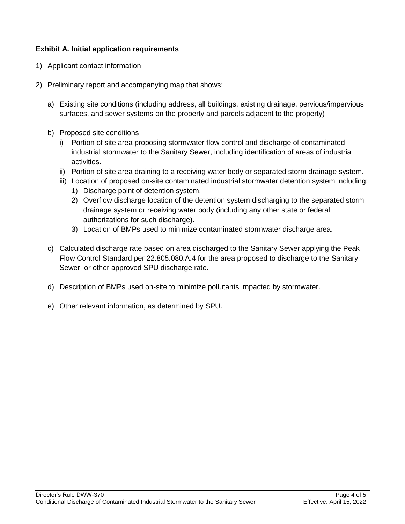## **Exhibit A. Initial application requirements**

- 1) Applicant contact information
- 2) Preliminary report and accompanying map that shows:
	- a) Existing site conditions (including address, all buildings, existing drainage, pervious/impervious surfaces, and sewer systems on the property and parcels adjacent to the property)
	- b) Proposed site conditions
		- i) Portion of site area proposing stormwater flow control and discharge of contaminated industrial stormwater to the Sanitary Sewer, including identification of areas of industrial activities.
		- ii) Portion of site area draining to a receiving water body or separated storm drainage system.
		- iii) Location of proposed on-site contaminated industrial stormwater detention system including:
			- 1) Discharge point of detention system.
			- 2) Overflow discharge location of the detention system discharging to the separated storm drainage system or receiving water body (including any other state or federal authorizations for such discharge).
			- 3) Location of BMPs used to minimize contaminated stormwater discharge area.
	- c) Calculated discharge rate based on area discharged to the Sanitary Sewer applying the Peak Flow Control Standard per 22.805.080.A.4 for the area proposed to discharge to the Sanitary Sewer or other approved SPU discharge rate.
	- d) Description of BMPs used on-site to minimize pollutants impacted by stormwater.
	- e) Other relevant information, as determined by SPU.